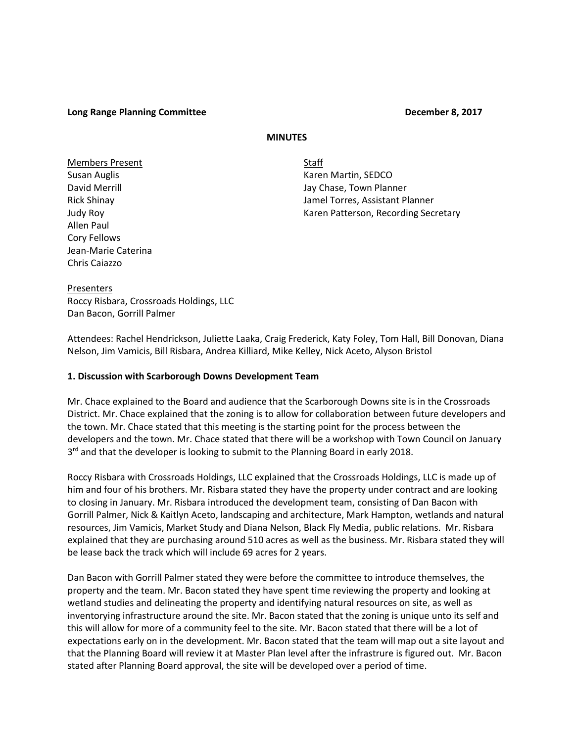## **Long Range Planning Committee December 8, 2017**

## **MINUTES**

Members Present New York Staff Allen Paul Cory Fellows Jean-Marie Caterina Chris Caiazzo

Susan Auglis **Karen Martin, SEDCO** David Merrill **David Merrill** Jay Chase, Town Planner Rick Shinay Jamel Torres, Assistant Planner Judy Roy **Karen Patterson, Recording Secretary** Karen Patterson, Recording Secretary

Presenters Roccy Risbara, Crossroads Holdings, LLC Dan Bacon, Gorrill Palmer

Attendees: Rachel Hendrickson, Juliette Laaka, Craig Frederick, Katy Foley, Tom Hall, Bill Donovan, Diana Nelson, Jim Vamicis, Bill Risbara, Andrea Killiard, Mike Kelley, Nick Aceto, Alyson Bristol

## **1. Discussion with Scarborough Downs Development Team**

Mr. Chace explained to the Board and audience that the Scarborough Downs site is in the Crossroads District. Mr. Chace explained that the zoning is to allow for collaboration between future developers and the town. Mr. Chace stated that this meeting is the starting point for the process between the developers and the town. Mr. Chace stated that there will be a workshop with Town Council on January 3<sup>rd</sup> and that the developer is looking to submit to the Planning Board in early 2018.

Roccy Risbara with Crossroads Holdings, LLC explained that the Crossroads Holdings, LLC is made up of him and four of his brothers. Mr. Risbara stated they have the property under contract and are looking to closing in January. Mr. Risbara introduced the development team, consisting of Dan Bacon with Gorrill Palmer, Nick & Kaitlyn Aceto, landscaping and architecture, Mark Hampton, wetlands and natural resources, Jim Vamicis, Market Study and Diana Nelson, Black Fly Media, public relations. Mr. Risbara explained that they are purchasing around 510 acres as well as the business. Mr. Risbara stated they will be lease back the track which will include 69 acres for 2 years.

Dan Bacon with Gorrill Palmer stated they were before the committee to introduce themselves, the property and the team. Mr. Bacon stated they have spent time reviewing the property and looking at wetland studies and delineating the property and identifying natural resources on site, as well as inventorying infrastructure around the site. Mr. Bacon stated that the zoning is unique unto its self and this will allow for more of a community feel to the site. Mr. Bacon stated that there will be a lot of expectations early on in the development. Mr. Bacon stated that the team will map out a site layout and that the Planning Board will review it at Master Plan level after the infrastrure is figured out. Mr. Bacon stated after Planning Board approval, the site will be developed over a period of time.